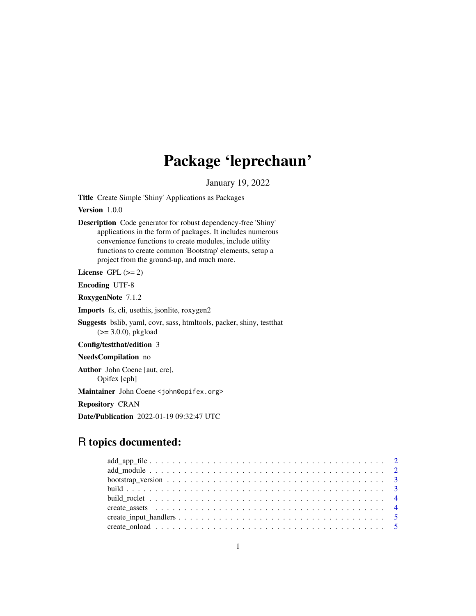## Package 'leprechaun'

January 19, 2022

Title Create Simple 'Shiny' Applications as Packages

Version 1.0.0

Description Code generator for robust dependency-free 'Shiny' applications in the form of packages. It includes numerous convenience functions to create modules, include utility functions to create common 'Bootstrap' elements, setup a project from the ground-up, and much more.

License GPL  $(>= 2)$ 

Encoding UTF-8

RoxygenNote 7.1.2

Imports fs, cli, usethis, jsonlite, roxygen2

Suggests bslib, yaml, covr, sass, htmltools, packer, shiny, testthat  $(>= 3.0.0)$ , pkgload

Config/testthat/edition 3

NeedsCompilation no

Author John Coene [aut, cre], Opifex [cph]

Maintainer John Coene <john@opifex.org>

Repository CRAN

Date/Publication 2022-01-19 09:32:47 UTC

### R topics documented: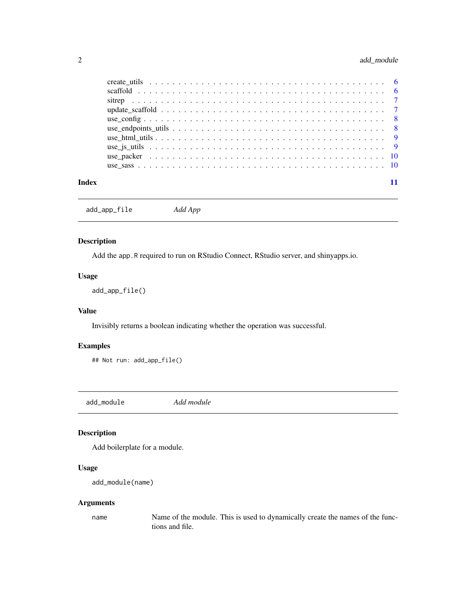#### <span id="page-1-0"></span>2 add\_module

| Index |  |
|-------|--|

add\_app\_file *Add App*

#### Description

Add the app.R required to run on RStudio Connect, RStudio server, and shinyapps.io.

#### Usage

add\_app\_file()

#### Value

Invisibly returns a boolean indicating whether the operation was successful.

#### Examples

## Not run: add\_app\_file()

add\_module *Add module*

#### Description

Add boilerplate for a module.

#### Usage

```
add_module(name)
```
#### Arguments

name Name of the module. This is used to dynamically create the names of the functions and file.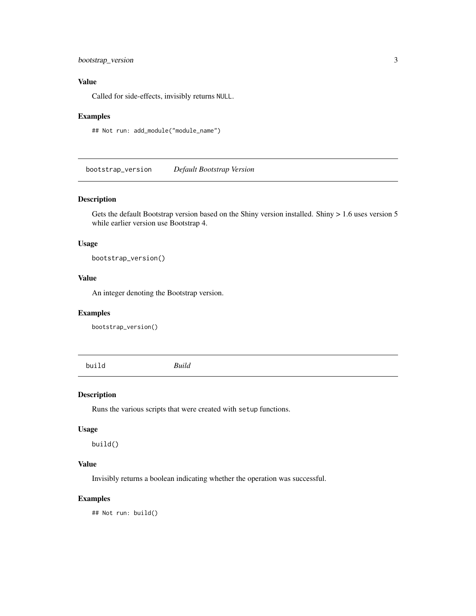#### <span id="page-2-0"></span>bootstrap\_version 3

#### Value

Called for side-effects, invisibly returns NULL.

#### Examples

## Not run: add\_module("module\_name")

bootstrap\_version *Default Bootstrap Version*

#### Description

Gets the default Bootstrap version based on the Shiny version installed. Shiny > 1.6 uses version 5 while earlier version use Bootstrap 4.

#### Usage

bootstrap\_version()

#### Value

An integer denoting the Bootstrap version.

#### Examples

bootstrap\_version()

<span id="page-2-1"></span>build *Build*

#### Description

Runs the various scripts that were created with setup functions.

#### Usage

build()

#### Value

Invisibly returns a boolean indicating whether the operation was successful.

#### Examples

## Not run: build()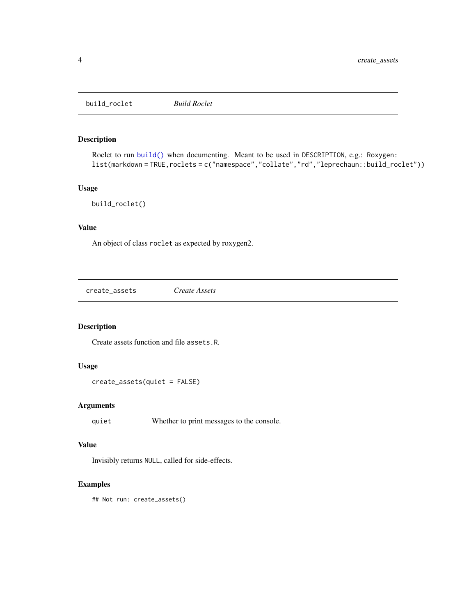<span id="page-3-0"></span>build\_roclet *Build Roclet*

#### Description

Roclet to run [build\(\)](#page-2-1) when documenting. Meant to be used in DESCRIPTION, e.g.: Roxygen: list(markdown = TRUE, roclets = c("namespace", "collate", "rd", "leprechaun::build\_roclet"))

#### Usage

```
build_roclet()
```
#### Value

An object of class roclet as expected by roxygen2.

create\_assets *Create Assets*

#### Description

Create assets function and file assets.R.

#### Usage

```
create_assets(quiet = FALSE)
```
#### Arguments

quiet Whether to print messages to the console.

#### Value

Invisibly returns NULL, called for side-effects.

#### Examples

## Not run: create\_assets()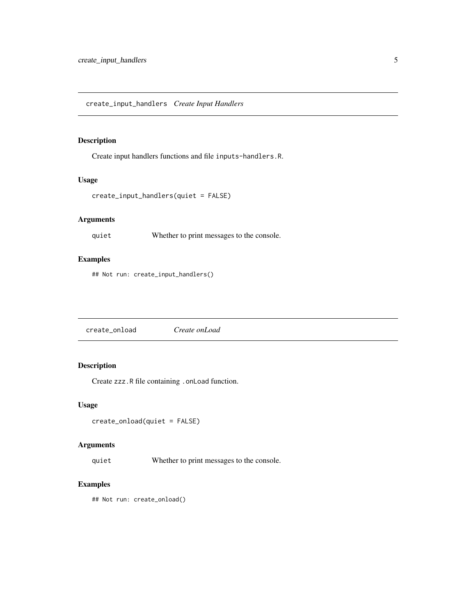#### <span id="page-4-0"></span>Description

Create input handlers functions and file inputs-handlers.R.

#### Usage

```
create_input_handlers(quiet = FALSE)
```
#### Arguments

quiet Whether to print messages to the console.

#### Examples

## Not run: create\_input\_handlers()

create\_onload *Create onLoad*

#### Description

Create zzz.R file containing .onLoad function.

#### Usage

```
create_onload(quiet = FALSE)
```
#### Arguments

quiet Whether to print messages to the console.

#### Examples

## Not run: create\_onload()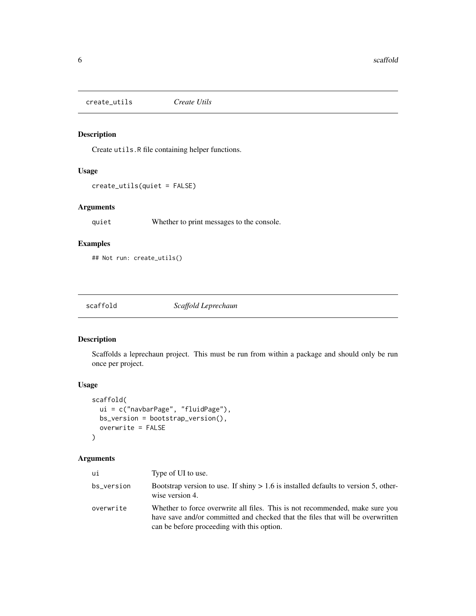<span id="page-5-0"></span>create\_utils *Create Utils*

#### Description

Create utils.R file containing helper functions.

#### Usage

create\_utils(quiet = FALSE)

#### Arguments

quiet Whether to print messages to the console.

#### Examples

## Not run: create\_utils()

scaffold *Scaffold Leprechaun*

#### Description

Scaffolds a leprechaun project. This must be run from within a package and should only be run once per project.

#### Usage

```
scaffold(
  ui = c("navbarPage", "fluidPage"),
  bs_version = bootstrap_version(),
  overwrite = FALSE
\mathcal{L}
```
#### Arguments

| ui         | Type of UI to use.                                                                                                                                                                                           |
|------------|--------------------------------------------------------------------------------------------------------------------------------------------------------------------------------------------------------------|
| bs_version | Bootstrap version to use. If shiny $> 1.6$ is installed defaults to version 5, other-<br>wise version 4.                                                                                                     |
| overwrite  | Whether to force overwrite all files. This is not recommended, make sure you<br>have save and/or committed and checked that the files that will be overwritten<br>can be before proceeding with this option. |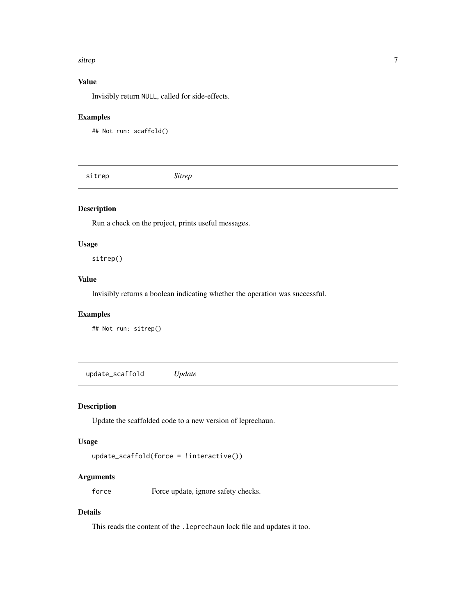#### <span id="page-6-0"></span>sitrep 2008 - 2009 - 2009 - 2009 - 2009 - 2009 - 2009 - 2009 - 2009 - 2009 - 2009 - 2009 - 2009 - 2009 - 2009 - 2009 - 2009 - 2009 - 2009 - 2009 - 2009 - 2009 - 2009 - 2009 - 2009 - 2009 - 2009 - 2009 - 2009 - 2009 - 2009

#### Value

Invisibly return NULL, called for side-effects.

#### Examples

```
## Not run: scaffold()
```
sitrep *Sitrep*

#### Description

Run a check on the project, prints useful messages.

#### Usage

sitrep()

#### Value

Invisibly returns a boolean indicating whether the operation was successful.

#### Examples

## Not run: sitrep()

update\_scaffold *Update*

#### Description

Update the scaffolded code to a new version of leprechaun.

#### Usage

```
update_scaffold(force = !interactive())
```
#### Arguments

force Force update, ignore safety checks.

#### Details

This reads the content of the .leprechaun lock file and updates it too.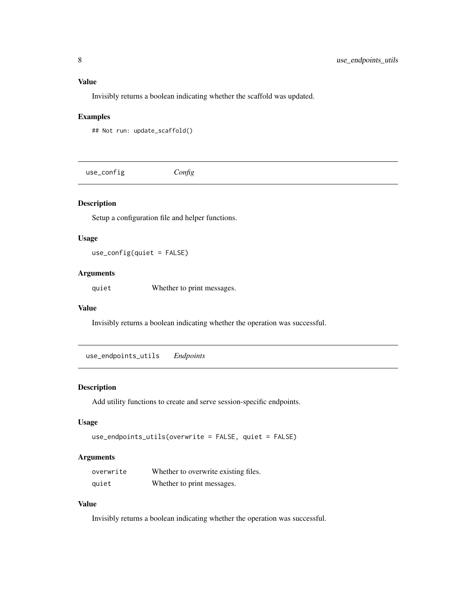#### <span id="page-7-0"></span>Value

Invisibly returns a boolean indicating whether the scaffold was updated.

#### Examples

```
## Not run: update_scaffold()
```
use\_config *Config*

#### Description

Setup a configuration file and helper functions.

#### Usage

use\_config(quiet = FALSE)

#### Arguments

quiet Whether to print messages.

#### Value

Invisibly returns a boolean indicating whether the operation was successful.

use\_endpoints\_utils *Endpoints*

#### Description

Add utility functions to create and serve session-specific endpoints.

#### Usage

```
use_endpoints_utils(overwrite = FALSE, quiet = FALSE)
```
#### Arguments

| overwrite | Whether to overwrite existing files. |
|-----------|--------------------------------------|
| quiet     | Whether to print messages.           |

#### Value

Invisibly returns a boolean indicating whether the operation was successful.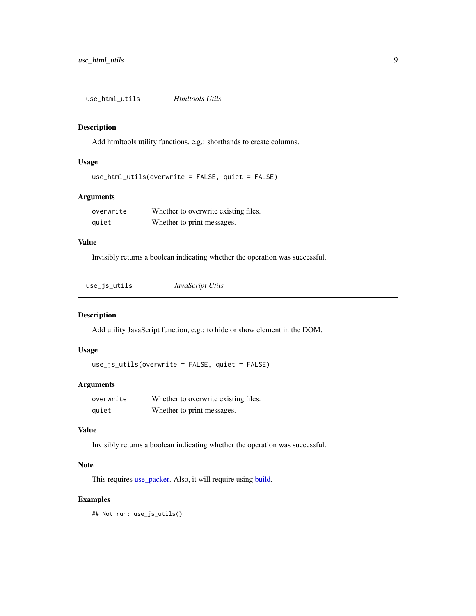<span id="page-8-0"></span>use\_html\_utils *Htmltools Utils*

#### Description

Add htmltools utility functions, e.g.: shorthands to create columns.

#### Usage

```
use_html_utils(overwrite = FALSE, quiet = FALSE)
```
#### Arguments

| overwrite | Whether to overwrite existing files. |
|-----------|--------------------------------------|
| quiet     | Whether to print messages.           |

#### Value

Invisibly returns a boolean indicating whether the operation was successful.

| use_js_utils | JavaScript Utils |  |
|--------------|------------------|--|
|--------------|------------------|--|

#### Description

Add utility JavaScript function, e.g.: to hide or show element in the DOM.

#### Usage

use\_js\_utils(overwrite = FALSE, quiet = FALSE)

#### Arguments

| overwrite | Whether to overwrite existing files. |
|-----------|--------------------------------------|
| quiet     | Whether to print messages.           |

#### Value

Invisibly returns a boolean indicating whether the operation was successful.

#### Note

This requires [use\\_packer.](#page-9-1) Also, it will require using [build.](#page-2-1)

#### Examples

## Not run: use\_js\_utils()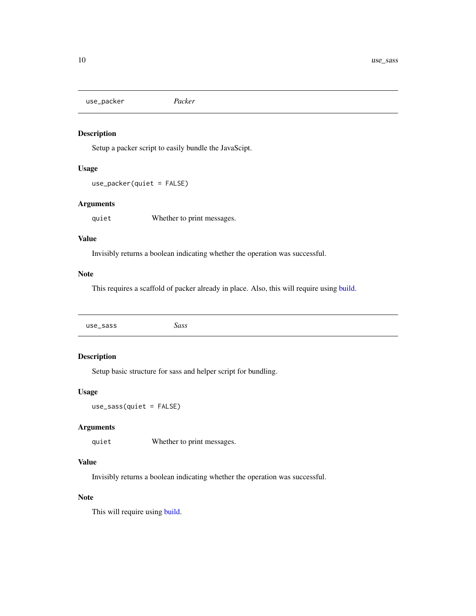<span id="page-9-1"></span><span id="page-9-0"></span>use\_packer *Packer*

#### Description

Setup a packer script to easily bundle the JavaScipt.

#### Usage

```
use_packer(quiet = FALSE)
```
#### Arguments

quiet Whether to print messages.

#### Value

Invisibly returns a boolean indicating whether the operation was successful.

#### Note

This requires a scaffold of packer already in place. Also, this will require using [build.](#page-2-1)

#### Description

Setup basic structure for sass and helper script for bundling.

#### Usage

use\_sass(quiet = FALSE)

#### Arguments

quiet Whether to print messages.

#### Value

Invisibly returns a boolean indicating whether the operation was successful.

#### Note

This will require using [build.](#page-2-1)